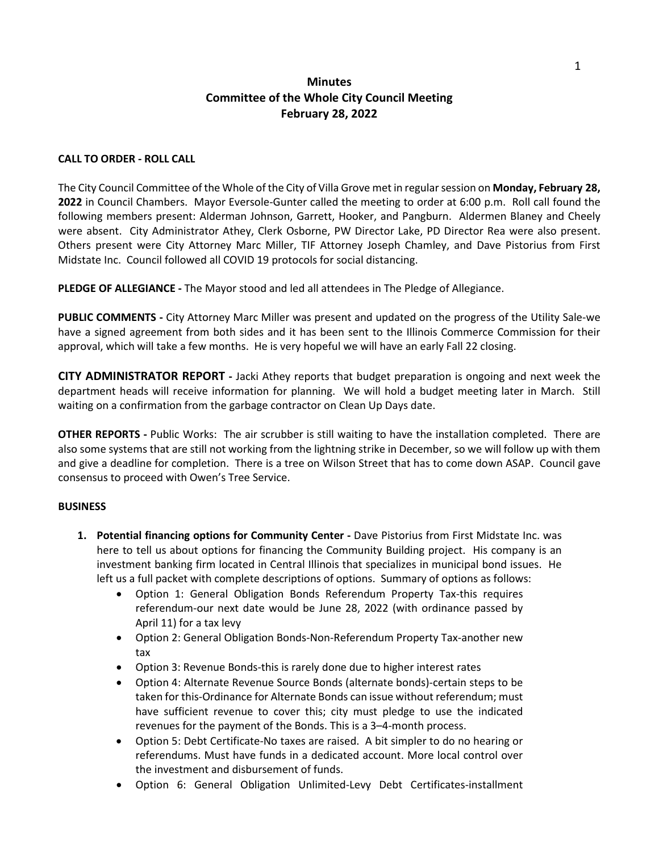## **Minutes Committee of the Whole City Council Meeting February 28, 2022**

## **CALL TO ORDER - ROLL CALL**

The City Council Committee of the Whole of the City of Villa Grove met in regularsession on **Monday, February 28, 2022** in Council Chambers. Mayor Eversole-Gunter called the meeting to order at 6:00 p.m. Roll call found the following members present: Alderman Johnson, Garrett, Hooker, and Pangburn. Aldermen Blaney and Cheely were absent. City Administrator Athey, Clerk Osborne, PW Director Lake, PD Director Rea were also present. Others present were City Attorney Marc Miller, TIF Attorney Joseph Chamley, and Dave Pistorius from First Midstate Inc. Council followed all COVID 19 protocols for social distancing.

**PLEDGE OF ALLEGIANCE -** The Mayor stood and led all attendees in The Pledge of Allegiance.

**PUBLIC COMMENTS -** City Attorney Marc Miller was present and updated on the progress of the Utility Sale-we have a signed agreement from both sides and it has been sent to the Illinois Commerce Commission for their approval, which will take a few months. He is very hopeful we will have an early Fall 22 closing.

**CITY ADMINISTRATOR REPORT -** Jacki Athey reports that budget preparation is ongoing and next week the department heads will receive information for planning. We will hold a budget meeting later in March. Still waiting on a confirmation from the garbage contractor on Clean Up Days date.

**OTHER REPORTS -** Public Works: The air scrubber is still waiting to have the installation completed. There are also some systems that are still not working from the lightning strike in December, so we will follow up with them and give a deadline for completion. There is a tree on Wilson Street that has to come down ASAP. Council gave consensus to proceed with Owen's Tree Service.

## **BUSINESS**

- **1. Potential financing options for Community Center -** Dave Pistorius from First Midstate Inc. was here to tell us about options for financing the Community Building project. His company is an investment banking firm located in Central Illinois that specializes in municipal bond issues. He left us a full packet with complete descriptions of options. Summary of options as follows:
	- Option 1: General Obligation Bonds Referendum Property Tax-this requires referendum-our next date would be June 28, 2022 (with ordinance passed by April 11) for a tax levy
	- Option 2: General Obligation Bonds-Non-Referendum Property Tax-another new tax
	- Option 3: Revenue Bonds-this is rarely done due to higher interest rates
	- Option 4: Alternate Revenue Source Bonds (alternate bonds)-certain steps to be taken for this-Ordinance for Alternate Bonds can issue without referendum; must have sufficient revenue to cover this; city must pledge to use the indicated revenues for the payment of the Bonds. This is a 3–4-month process.
	- Option 5: Debt Certificate-No taxes are raised. A bit simpler to do no hearing or referendums. Must have funds in a dedicated account. More local control over the investment and disbursement of funds.
	- Option 6: General Obligation Unlimited-Levy Debt Certificates-installment